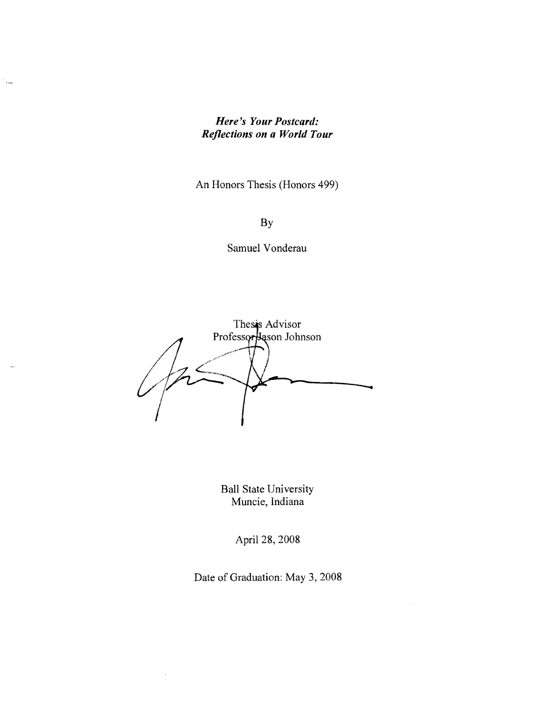## *Here's Your Postcard: Reflections on a World Tour*

 $\epsilon_{\rm{max}}$ 

An Honors Thesis (Honors 499)

By

Samuel Vonderau

Thesis Advisor Professor Jason Johnson

Ball State University Muncie, Indiana

April 28, 2008

Date of Graduation: May 3, 2008